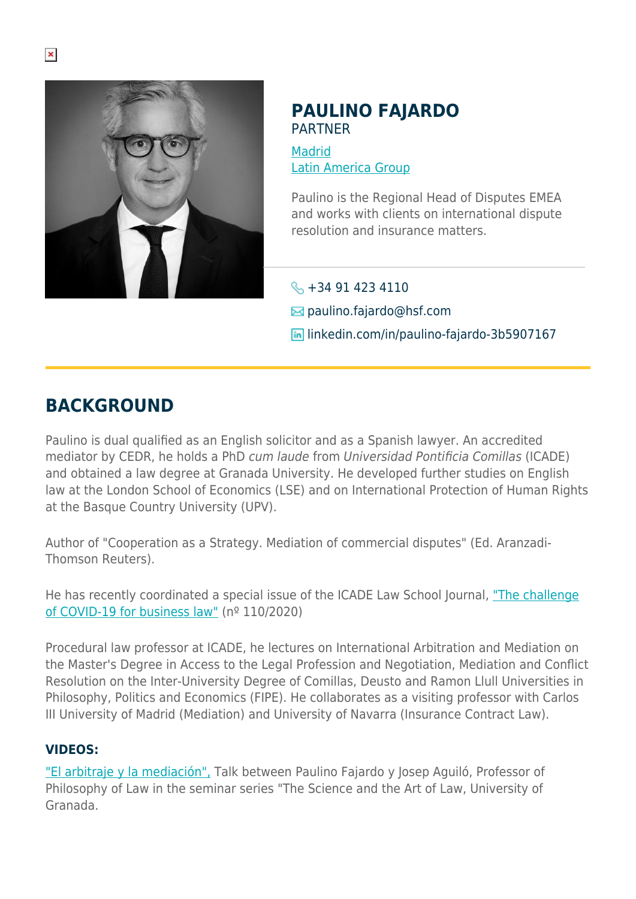

# **PAULINO FAJARDO** PARTNER

**[Madrid](https://www.herbertsmithfreehills.com/lang-fr/where-we-work/madrid)** [Latin America Group](https://www.herbertsmithfreehills.com/lang-fr/where-we-work/latin-america-group)

Paulino is the Regional Head of Disputes EMEA and works with clients on international dispute resolution and insurance matters.

 $\leftarrow +34914234110$ 

 $\boxtimes$  paulino.fajardo@hsf.com

**In linkedin.com/in/paulino-fajardo-3b5907167** 

# **BACKGROUND**

Paulino is dual qualified as an English solicitor and as a Spanish lawyer. An accredited mediator by CEDR, he holds a PhD cum laude from Universidad Pontificia Comillas (ICADE) and obtained a law degree at Granada University. He developed further studies on English law at the London School of Economics (LSE) and on International Protection of Human Rights at the Basque Country University (UPV).

Author of "Cooperation as a Strategy. Mediation of commercial disputes" (Ed. Aranzadi-Thomson Reuters).

He has recently coordinated a special issue of the ICADE Law School Journal, ["The challenge](https://revistas.comillas.edu/index.php/revistaicade/issue/view/1035) [of COVID-19 for business law"](https://revistas.comillas.edu/index.php/revistaicade/issue/view/1035) (nº 110/2020)

Procedural law professor at ICADE, he lectures on International Arbitration and Mediation on the Master's Degree in Access to the Legal Profession and Negotiation, Mediation and Conflict Resolution on the Inter-University Degree of Comillas, Deusto and Ramon Llull Universities in Philosophy, Politics and Economics (FIPE). He collaborates as a visiting professor with Carlos III University of Madrid (Mediation) and University of Navarra (Insurance Contract Law).

# **VIDEOS:**

["El arbitraje y la mediación",](https://www.cacocu.es/evento/arbitraje-la-mediacion-josep-aguilo-paulino-fajardo/) Talk between Paulino Fajardo y Josep Aguiló, Professor of Philosophy of Law in the seminar series "The Science and the Art of Law, University of Granada.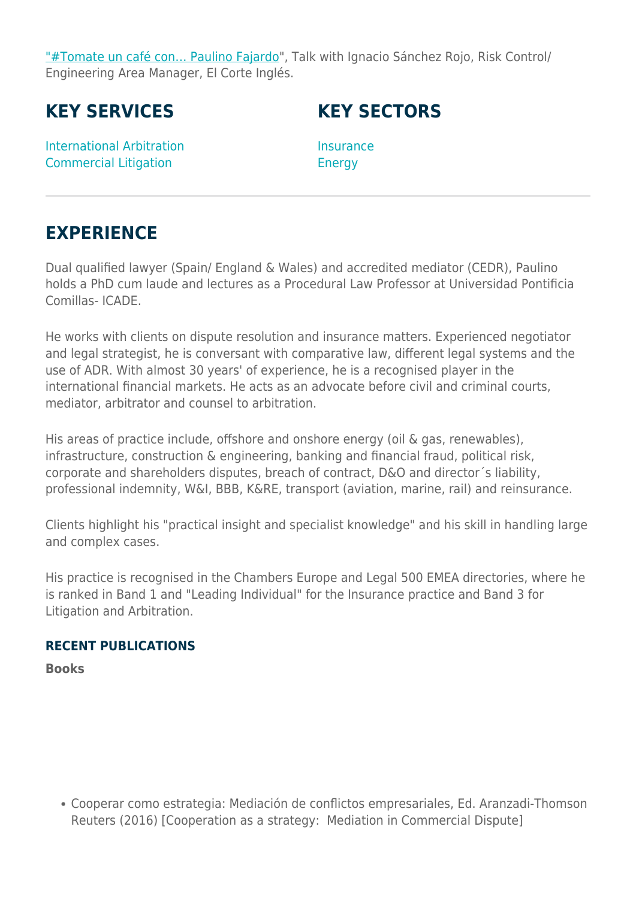["#Tomate un café con… Paulino Fajardo](https://www.youtube.com/watch?v=Mb_pv54b7BQ)", Talk with Ignacio Sánchez Rojo, Risk Control/ Engineering Area Manager, El Corte Inglés.

**KEY SERVICES**

**KEY SECTORS**

International Arbitration Commercial Litigation

**Insurance** Energy

# **EXPERIENCE**

Dual qualified lawyer (Spain/ England & Wales) and accredited mediator (CEDR), Paulino holds a PhD cum laude and lectures as a Procedural Law Professor at Universidad Pontificia Comillas- ICADE.

He works with clients on dispute resolution and insurance matters. Experienced negotiator and legal strategist, he is conversant with comparative law, different legal systems and the use of ADR. With almost 30 years' of experience, he is a recognised player in the international financial markets. He acts as an advocate before civil and criminal courts, mediator, arbitrator and counsel to arbitration.

His areas of practice include, offshore and onshore energy (oil & gas, renewables), infrastructure, construction & engineering, banking and financial fraud, political risk, corporate and shareholders disputes, breach of contract, D&O and director´s liability, professional indemnity, W&I, BBB, K&RE, transport (aviation, marine, rail) and reinsurance.

Clients highlight his "practical insight and specialist knowledge" and his skill in handling large and complex cases.

His practice is recognised in the Chambers Europe and Legal 500 EMEA directories, where he is ranked in Band 1 and "Leading Individual" for the Insurance practice and Band 3 for Litigation and Arbitration.

# **RECENT PUBLICATIONS**

**Books**

Cooperar como estrategia: Mediación de conflictos empresariales, Ed. Aranzadi-Thomson Reuters (2016) [Cooperation as a strategy: Mediation in Commercial Dispute]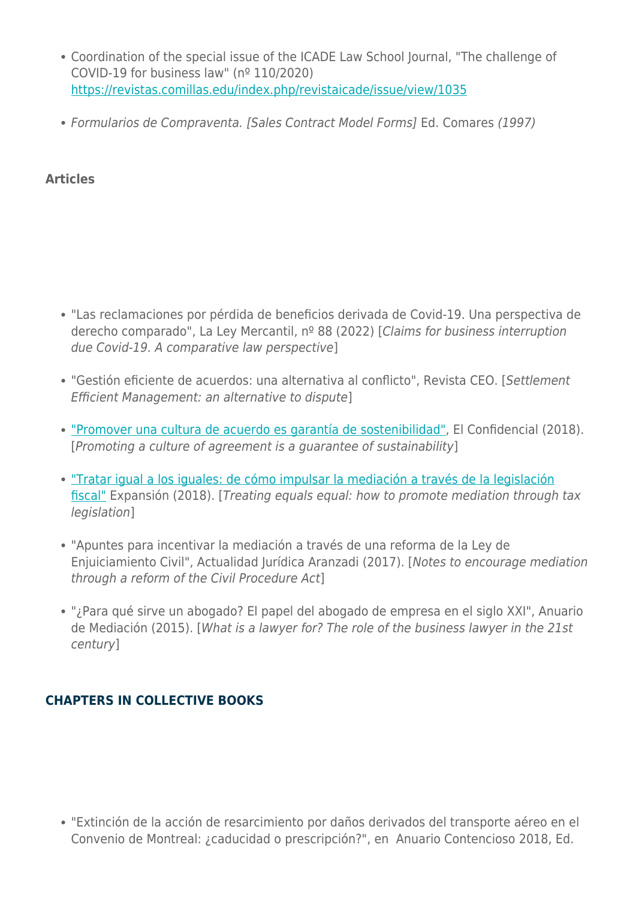- Coordination of the special issue of the ICADE Law School Journal, "The challenge of COVID-19 for business law" (nº 110/2020) <https://revistas.comillas.edu/index.php/revistaicade/issue/view/1035>
- Formularios de Compraventa. [Sales Contract Model Forms] Ed. Comares (1997)

# **Articles**

- "Las reclamaciones por pérdida de beneficios derivada de Covid-19. Una perspectiva de derecho comparado", La Ley Mercantil, nº 88 (2022) [Claims for business interruption due Covid-19. A comparative law perspective]
- "Gestión eficiente de acuerdos: una alternativa al conflicto", Revista CEO. [Settlement Efficient Management: an alternative to dispute]
- ["Promover una cultura de acuerdo es garantía de sostenibilidad"](https://blogs.elconfidencial.com/espana/tribuna/2018-03-22/cultura-sostenibilidad-tejido-empresarial-social-politica-bra_1538780/), El Confidencial (2018). [Promoting a culture of agreement is a guarantee of sustainability]
- ["Tratar igual a los iguales: de cómo impulsar la mediación a través de la legislación](http://www.expansion.com/juridico/opinion/2018/06/14/5b229a88268e3ea3478b46ab.html) [fiscal"](http://www.expansion.com/juridico/opinion/2018/06/14/5b229a88268e3ea3478b46ab.html) Expansión (2018). [Treating equals equal: how to promote mediation through tax legislation]
- "Apuntes para incentivar la mediación a través de una reforma de la Ley de Enjuiciamiento Civil", Actualidad Jurídica Aranzadi (2017). [Notes to encourage mediation through a reform of the Civil Procedure Act]
- "¿Para qué sirve un abogado? El papel del abogado de empresa en el siglo XXI", Anuario de Mediación (2015). [What is a lawyer for? The role of the business lawyer in the 21st century]

# **CHAPTERS IN COLLECTIVE BOOKS**

"Extinción de la acción de resarcimiento por daños derivados del transporte aéreo en el Convenio de Montreal: ¿caducidad o prescripción?", en Anuario Contencioso 2018, Ed.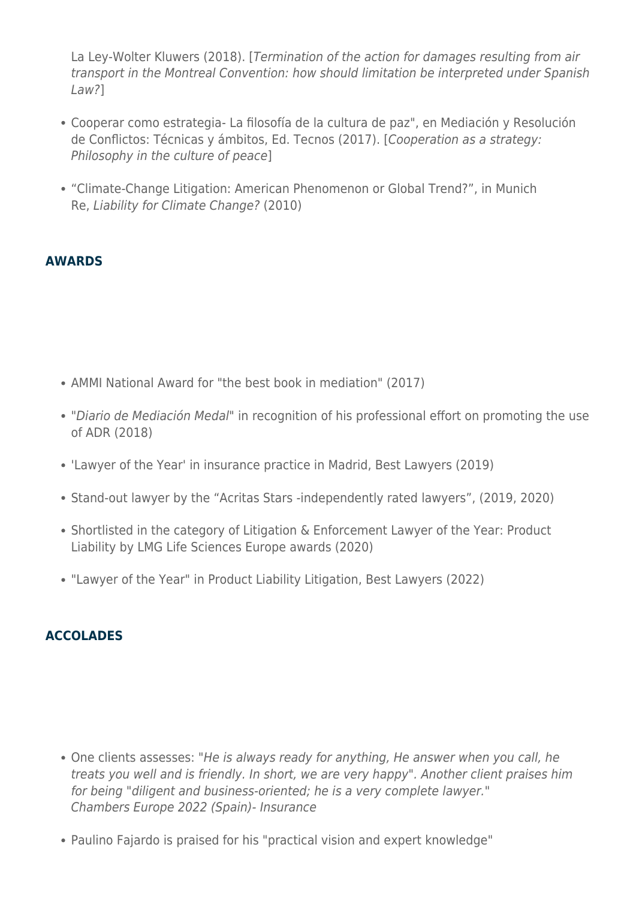La Ley-Wolter Kluwers (2018). [Termination of the action for damages resulting from air transport in the Montreal Convention: how should limitation be interpreted under Spanish  $Law$ ?]

- Cooperar como estrategia- La filosofía de la cultura de paz", en Mediación y Resolución de Conflictos: Técnicas y ámbitos, Ed. Tecnos (2017). [Cooperation as a strategy: Philosophy in the culture of peace]
- "Climate-Change Litigation: American Phenomenon or Global Trend?", in Munich Re, Liability for Climate Change? (2010)

# **AWARDS**

- AMMI National Award for "the best book in mediation" (2017)
- "Diario de Mediación Medal" in recognition of his professional effort on promoting the use of ADR (2018)
- 'Lawyer of the Year' in insurance practice in Madrid, Best Lawyers (2019)
- Stand-out lawyer by the "Acritas Stars -independently rated lawyers", (2019, 2020)
- Shortlisted in the category of Litigation & Enforcement Lawyer of the Year: Product Liability by LMG Life Sciences Europe awards (2020)
- "Lawyer of the Year" in Product Liability Litigation, Best Lawyers (2022)

# **ACCOLADES**

- One clients assesses: "He is always ready for anything, He answer when you call, he treats you well and is friendly. In short, we are very happy". Another client praises him for being "diligent and business-oriented; he is a very complete lawyer." Chambers Europe 2022 (Spain)- Insurance
- Paulino Fajardo is praised for his "practical vision and expert knowledge"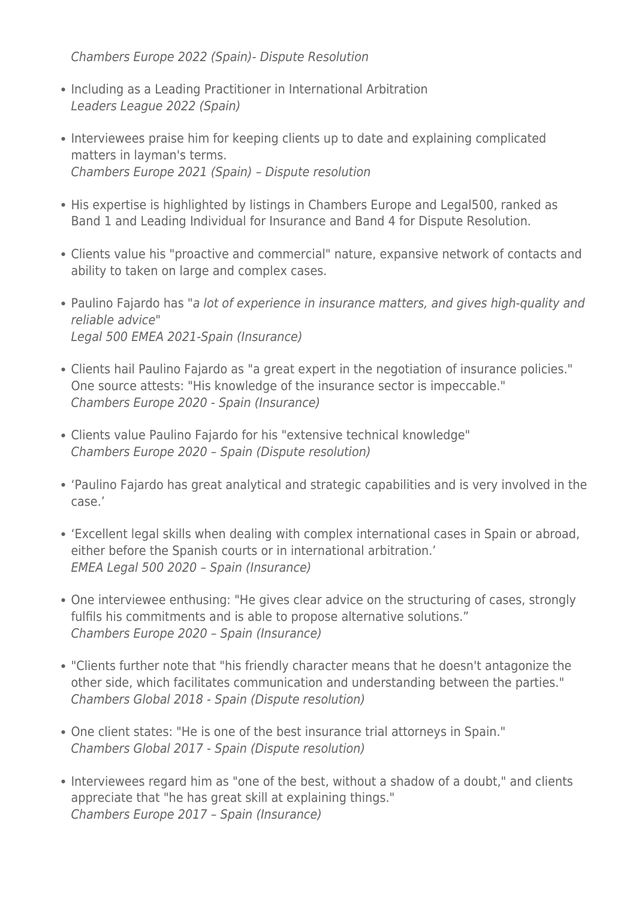Chambers Europe 2022 (Spain)- Dispute Resolution

- Including as a Leading Practitioner in International Arbitration Leaders League 2022 (Spain)
- Interviewees praise him for keeping clients up to date and explaining complicated matters in layman's terms. Chambers Europe 2021 (Spain) – Dispute resolution
- His expertise is highlighted by listings in Chambers Europe and Legal500, ranked as Band 1 and Leading Individual for Insurance and Band 4 for Dispute Resolution.
- Clients value his "proactive and commercial" nature, expansive network of contacts and ability to taken on large and complex cases.
- Paulino Fajardo has "a lot of experience in insurance matters, and gives high-quality and reliable advice" Legal 500 EMEA 2021-Spain (Insurance)
- Clients hail Paulino Fajardo as "a great expert in the negotiation of insurance policies." One source attests: "His knowledge of the insurance sector is impeccable." Chambers Europe 2020 - Spain (Insurance)
- Clients value Paulino Fajardo for his "extensive technical knowledge" Chambers Europe 2020 – Spain (Dispute resolution)
- 'Paulino Fajardo has great analytical and strategic capabilities and is very involved in the case.'
- 'Excellent legal skills when dealing with complex international cases in Spain or abroad, either before the Spanish courts or in international arbitration.' EMEA Legal 500 2020 – Spain (Insurance)
- One interviewee enthusing: "He gives clear advice on the structuring of cases, strongly fulfils his commitments and is able to propose alternative solutions." Chambers Europe 2020 – Spain (Insurance)
- "Clients further note that "his friendly character means that he doesn't antagonize the other side, which facilitates communication and understanding between the parties." Chambers Global 2018 - Spain (Dispute resolution)
- One client states: "He is one of the best insurance trial attorneys in Spain." Chambers Global 2017 - Spain (Dispute resolution)
- Interviewees regard him as "one of the best, without a shadow of a doubt," and clients appreciate that "he has great skill at explaining things." Chambers Europe 2017 – Spain (Insurance)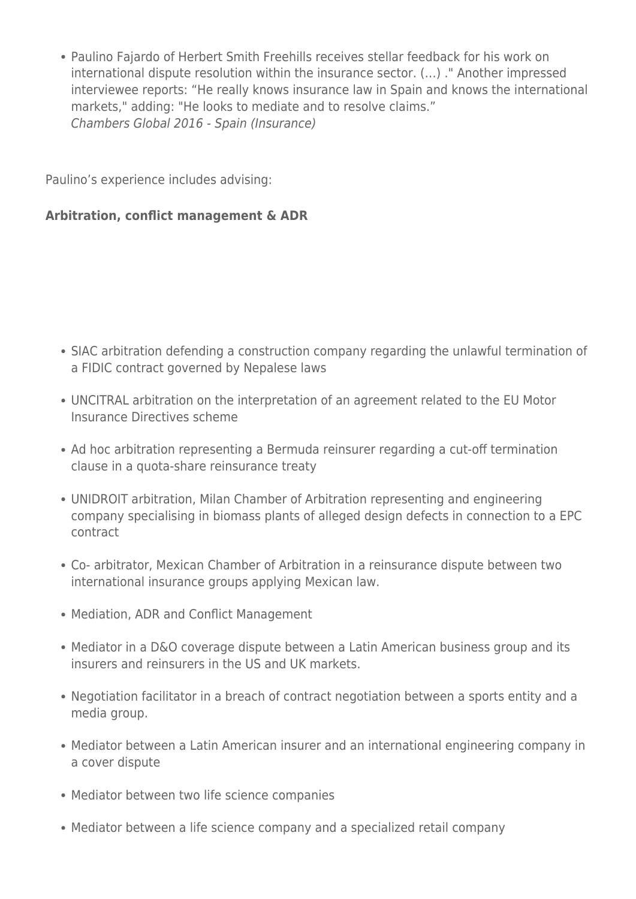• Paulino Fajardo of Herbert Smith Freehills receives stellar feedback for his work on international dispute resolution within the insurance sector. (…) ." Another impressed interviewee reports: "He really knows insurance law in Spain and knows the international markets," adding: "He looks to mediate and to resolve claims." Chambers Global 2016 - Spain (Insurance)

Paulino's experience includes advising:

#### **Arbitration, conflict management & ADR**

- SIAC arbitration defending a construction company regarding the unlawful termination of a FIDIC contract governed by Nepalese laws
- UNCITRAL arbitration on the interpretation of an agreement related to the EU Motor Insurance Directives scheme
- Ad hoc arbitration representing a Bermuda reinsurer regarding a cut-off termination clause in a quota-share reinsurance treaty
- UNIDROIT arbitration, Milan Chamber of Arbitration representing and engineering company specialising in biomass plants of alleged design defects in connection to a EPC contract
- Co- arbitrator, Mexican Chamber of Arbitration in a reinsurance dispute between two international insurance groups applying Mexican law.
- Mediation, ADR and Conflict Management
- Mediator in a D&O coverage dispute between a Latin American business group and its insurers and reinsurers in the US and UK markets.
- Negotiation facilitator in a breach of contract negotiation between a sports entity and a media group.
- Mediator between a Latin American insurer and an international engineering company in a cover dispute
- Mediator between two life science companies
- Mediator between a life science company and a specialized retail company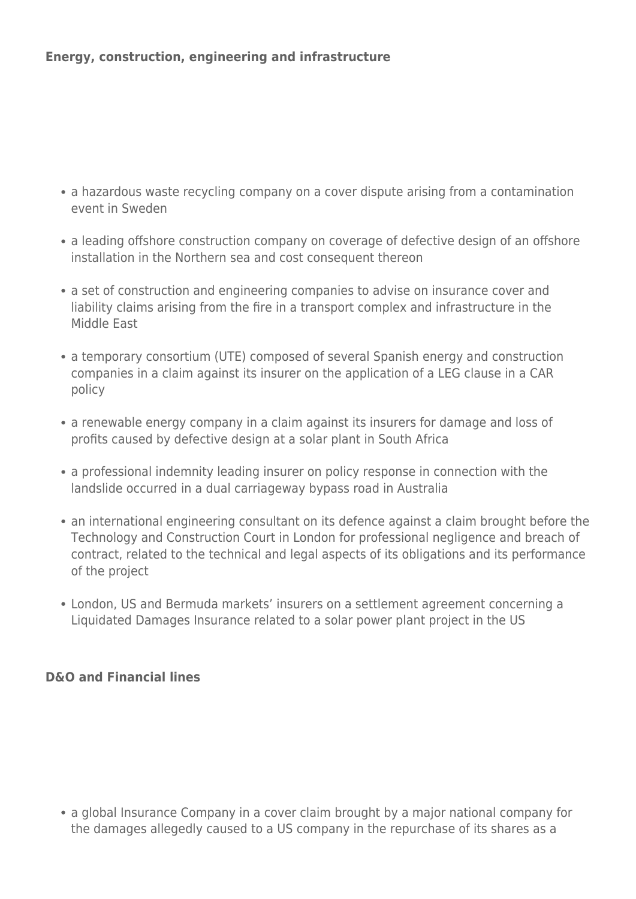- a hazardous waste recycling company on a cover dispute arising from a contamination event in Sweden
- a leading offshore construction company on coverage of defective design of an offshore installation in the Northern sea and cost consequent thereon
- a set of construction and engineering companies to advise on insurance cover and liability claims arising from the fire in a transport complex and infrastructure in the Middle East
- a temporary consortium (UTE) composed of several Spanish energy and construction companies in a claim against its insurer on the application of a LEG clause in a CAR policy
- a renewable energy company in a claim against its insurers for damage and loss of profits caused by defective design at a solar plant in South Africa
- a professional indemnity leading insurer on policy response in connection with the landslide occurred in a dual carriageway bypass road in Australia
- an international engineering consultant on its defence against a claim brought before the Technology and Construction Court in London for professional negligence and breach of contract, related to the technical and legal aspects of its obligations and its performance of the project
- London, US and Bermuda markets' insurers on a settlement agreement concerning a Liquidated Damages Insurance related to a solar power plant project in the US

# **D&O and Financial lines**

• a global Insurance Company in a cover claim brought by a major national company for the damages allegedly caused to a US company in the repurchase of its shares as a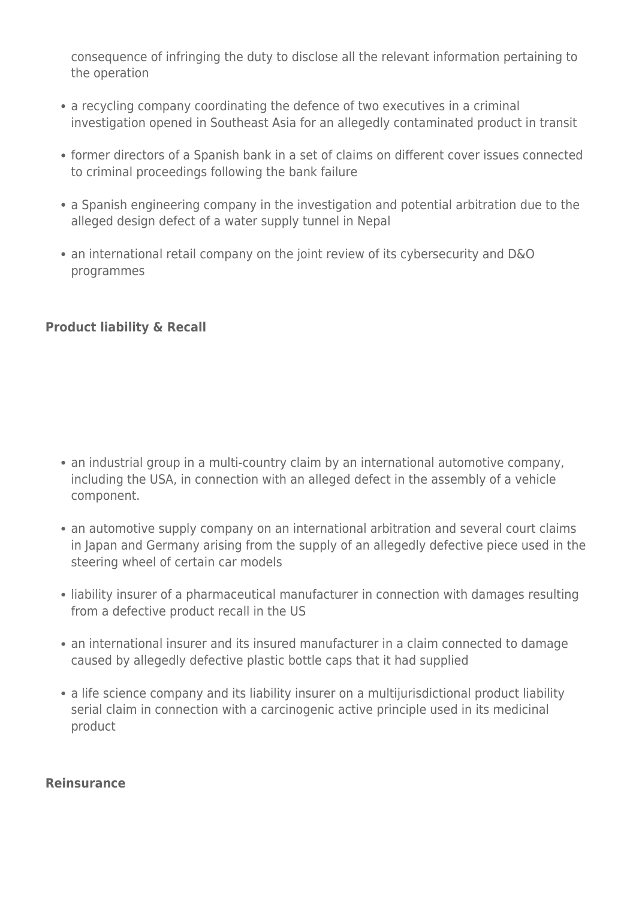consequence of infringing the duty to disclose all the relevant information pertaining to the operation

- a recycling company coordinating the defence of two executives in a criminal investigation opened in Southeast Asia for an allegedly contaminated product in transit
- former directors of a Spanish bank in a set of claims on different cover issues connected to criminal proceedings following the bank failure
- a Spanish engineering company in the investigation and potential arbitration due to the alleged design defect of a water supply tunnel in Nepal
- an international retail company on the joint review of its cybersecurity and D&O programmes

# **Product liability & Recall**

- an industrial group in a multi-country claim by an international automotive company, including the USA, in connection with an alleged defect in the assembly of a vehicle component.
- an automotive supply company on an international arbitration and several court claims in Japan and Germany arising from the supply of an allegedly defective piece used in the steering wheel of certain car models
- liability insurer of a pharmaceutical manufacturer in connection with damages resulting from a defective product recall in the US
- an international insurer and its insured manufacturer in a claim connected to damage caused by allegedly defective plastic bottle caps that it had supplied
- a life science company and its liability insurer on a multijurisdictional product liability serial claim in connection with a carcinogenic active principle used in its medicinal product

#### **Reinsurance**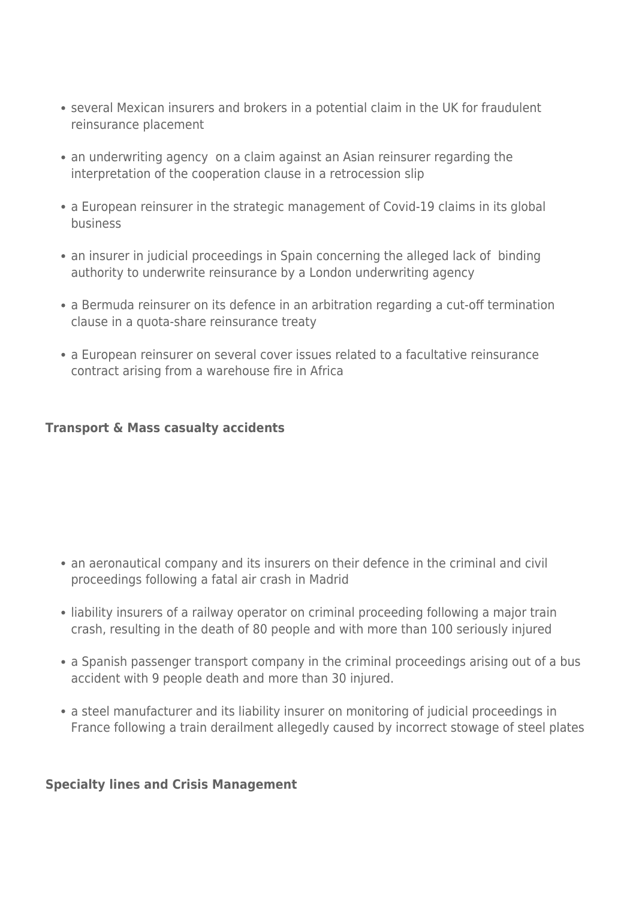- several Mexican insurers and brokers in a potential claim in the UK for fraudulent reinsurance placement
- an underwriting agency on a claim against an Asian reinsurer regarding the interpretation of the cooperation clause in a retrocession slip
- a European reinsurer in the strategic management of Covid-19 claims in its global business
- an insurer in judicial proceedings in Spain concerning the alleged lack of binding authority to underwrite reinsurance by a London underwriting agency
- a Bermuda reinsurer on its defence in an arbitration regarding a cut-off termination clause in a quota-share reinsurance treaty
- a European reinsurer on several cover issues related to a facultative reinsurance contract arising from a warehouse fire in Africa

# **Transport & Mass casualty accidents**

- an aeronautical company and its insurers on their defence in the criminal and civil proceedings following a fatal air crash in Madrid
- liability insurers of a railway operator on criminal proceeding following a major train crash, resulting in the death of 80 people and with more than 100 seriously injured
- a Spanish passenger transport company in the criminal proceedings arising out of a bus accident with 9 people death and more than 30 injured.
- a steel manufacturer and its liability insurer on monitoring of judicial proceedings in France following a train derailment allegedly caused by incorrect stowage of steel plates

#### **Specialty lines and Crisis Management**